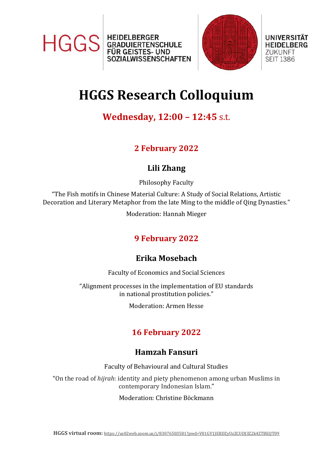



UNIVERSITÄT **HEIDELBERG** 

**ZUKUNFT** 

**SEIT 1386** 

# **HGGS Research Colloquium**

## **Wednesday, 12:00 – 12:45** s.t.

## **2 February 2022**

#### **Lili Zhang**

Philosophy Faculty

"The Fish motifs in Chinese Material Culture: A Study of Social Relations, Artistic Decoration and Literary Metaphor from the late Ming to the middle of Qing Dynasties."

Moderation: Hannah Mieger

## **9 February 2022**

#### **Erika Mosebach**

Faculty of Economics and Social Sciences

"Alignment processes in the implementation of EU standards in national prostitution policies."

Moderation: Armen Hesse

## **16 February 2022**

#### **Hamzah Fansuri**

Faculty of Behavioural and Cultural Studies

"On the road of *hijrah*: identity and piety phenomenon among urban Muslims in contemporary Indonesian Islam."

Moderation: Christine Böckmann

**HGGS virtual room:** <https://us02web.zoom.us/j/83076503581?pwd=V01GV1JERDZyUzZCUDJ3Z2k4ZTBEQT09>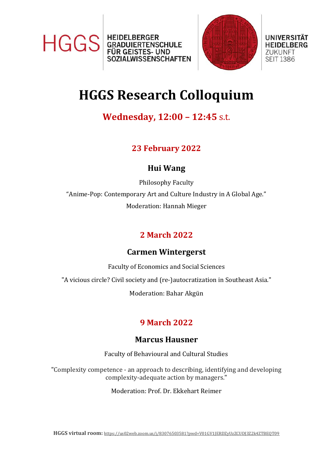



#### **UNIVERSITAT ZUKUNFT SEIT 1386**

# **HGGS Research Colloquium**

## **Wednesday, 12:00 – 12:45** s.t.

## **23 February 2022**

## **Hui Wang**

Philosophy Faculty "Anime-Pop: Contemporary Art and Culture Industry in A Global Age." Moderation: Hannah Mieger

## **2 March 2022**

## **Carmen Wintergerst**

Faculty of Economics and Social Sciences

"A vicious circle? Civil society and (re-)autocratization in Southeast Asia."

Moderation: Bahar Akgün

# **9 March 2022**

## **Marcus Hausner**

Faculty of Behavioural and Cultural Studies

"Complexity competence - an approach to describing, identifying and developing complexity-adequate action by managers."

Moderation: Prof. Dr. Ekkehart Reimer

**HGGS virtual room:** <https://us02web.zoom.us/j/83076503581?pwd=V01GV1JERDZyUzZCUDJ3Z2k4ZTBEQT09>